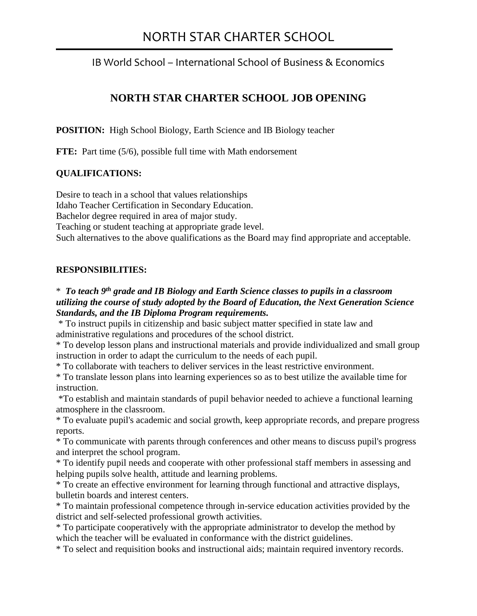# NORTH STAR CHARTER SCHOOL

IB World School – International School of Business & Economics

# **NORTH STAR CHARTER SCHOOL JOB OPENING**

**POSITION:** High School Biology, Earth Science and IB Biology teacher

**FTE:** Part time (5/6), possible full time with Math endorsement

## **QUALIFICATIONS:**

Desire to teach in a school that values relationships Idaho Teacher Certification in Secondary Education. Bachelor degree required in area of major study. Teaching or student teaching at appropriate grade level. Such alternatives to the above qualifications as the Board may find appropriate and acceptable.

## **RESPONSIBILITIES:**

\* *To teach 9 th grade and IB Biology and Earth Science classes to pupils in a classroom utilizing the course of study adopted by the Board of Education, the Next Generation Science Standards, and the IB Diploma Program requirements.* 

\* To instruct pupils in citizenship and basic subject matter specified in state law and administrative regulations and procedures of the school district.

\* To develop lesson plans and instructional materials and provide individualized and small group instruction in order to adapt the curriculum to the needs of each pupil.

\* To collaborate with teachers to deliver services in the least restrictive environment.

\* To translate lesson plans into learning experiences so as to best utilize the available time for instruction.

\*To establish and maintain standards of pupil behavior needed to achieve a functional learning atmosphere in the classroom.

\* To evaluate pupil's academic and social growth, keep appropriate records, and prepare progress reports.

\* To communicate with parents through conferences and other means to discuss pupil's progress and interpret the school program.

\* To identify pupil needs and cooperate with other professional staff members in assessing and helping pupils solve health, attitude and learning problems.

\* To create an effective environment for learning through functional and attractive displays, bulletin boards and interest centers.

\* To maintain professional competence through in-service education activities provided by the district and self-selected professional growth activities.

\* To participate cooperatively with the appropriate administrator to develop the method by which the teacher will be evaluated in conformance with the district guidelines.

\* To select and requisition books and instructional aids; maintain required inventory records.